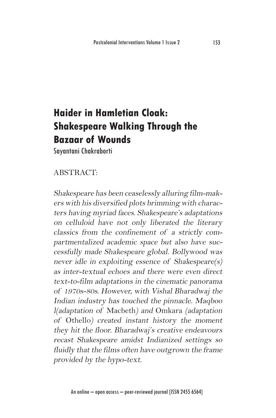## **Haider in Hamletian Cloak: Shakespeare Walking Through the Bazaar of Wounds**

Sayantani Chakraborti

## ABSTRACT:

Shakespeare has been ceaselessly alluring film-makers with his diversified plots brimming with characters having myriad faces. Shakespeare's adaptations on celluloid have not only liberated the literary classics from the confinement of a strictly compartmentalized academic space but also have successfully made Shakespeare global. Bollywood was never idle in exploiting essence of Shakespeare(s) as inter-textual echoes and there were even direct text-to-film adaptations in the cinematic panorama of 1970s-80s. However, with Vishal Bharadwaj the Indian industry has touched the pinnacle. Maqboo l(adaptation of Macbeth) and Omkara (adaptation of Othello) created instant history the moment they hit the floor. Bharadwaj's creative endeavours recast Shakespeare amidst Indianized settings so fluidly that the films often have outgrown the frame provided by the hypo-text.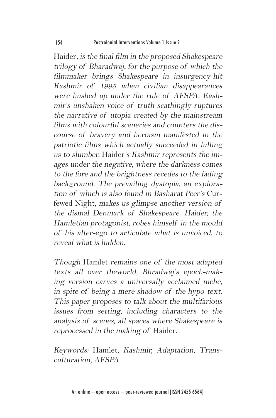Haider, is the final film in the proposed Shakespeare trilogy of Bharadwaj, for the purpose of which the filmmaker brings Shakespeare in insurgency-hit Kashmir of 1995 when civilian disappearances were hushed up under the rule of AFSPA. Kashmir's unshaken voice of truth scathingly ruptures the narrative of utopia created by the mainstream films with colourful sceneries and counters the discourse of bravery and heroism manifested in the patriotic films which actually succeeded in lulling us to slumber. Haider's Kashmir represents the images under the negative, where the darkness comes to the fore and the brightness recedes to the fading background. The prevailing dystopia, an exploration of which is also found in Basharat Peer's Curfewed Night, makes us glimpse another version of the dismal Denmark of Shakespeare. Haider, the Hamletian protagonist, robes himself in the mould of his alter-ego to articulate what is unvoiced, to reveal what is hidden.

Though Hamlet remains one of the most adapted texts all over theworld, Bhradwaj's epoch-making version carves a universally acclaimed niche, in spite of being a mere shadow of the hypo-text. This paper proposes to talk about the multifarious issues from setting, including characters to the analysis of scenes, all spaces where Shakespeare is reprocessed in the making of Haider.

Keywords: Hamlet, Kashmir, Adaptation, Transculturation, AFSPA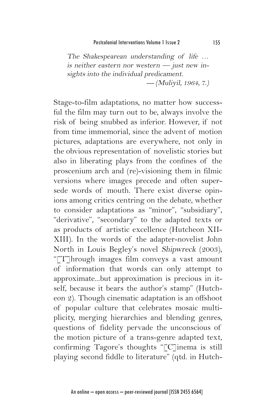The Shakespearean understanding of life … is neither eastern nor western  $-$  just new insights into the individual predicament. --- (Muliyil, 1964, 7.)

Stage-to-film adaptations, no matter how successful the film may turn out to be, always involve the risk of being snubbed as inferior. However, if not from time immemorial, since the advent of motion pictures, adaptations are everywhere, not only in the obvious representation of novelistic stories but also in liberating plays from the confines of the proscenium arch and (re)-visioning them in filmic versions where images precede and often supersede words of mouth. There exist diverse opinions among critics centring on the debate, whether to consider adaptations as "minor", "subsidiary", "derivative", "secondary" to the adapted texts or as products of artistic excellence (Hutcheon XII-XIII). In the words of the adapter-novelist John North in Louis Begley's novel Shipwreck (2003), "[T]hrough images film conveys a vast amount of information that words can only attempt to approximate...but approximation is precious in itself, because it bears the author's stamp" (Hutcheon 2). Though cinematic adaptation is an offshoot of popular culture that celebrates mosaic multiplicity, merging hierarchies and blending genres, questions of fidelity pervade the unconscious of the motion picture of a trans-genre adapted text, confirming Tagore's thoughts "[C]inema is still playing second fiddle to literature" (qtd. in Hutch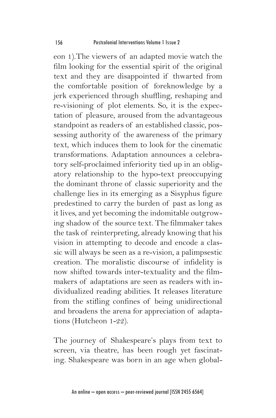eon 1).The viewers of an adapted movie watch the film looking for the essential spirit of the original text and they are disappointed if thwarted from the comfortable position of foreknowledge by a jerk experienced through shuffling, reshaping and re-visioning of plot elements. So, it is the expectation of pleasure, aroused from the advantageous standpoint as readers of an established classic, possessing authority of the awareness of the primary text, which induces them to look for the cinematic transformations. Adaptation announces a celebratory self-proclaimed inferiority tied up in an obligatory relationship to the hypo-text preoccupying the dominant throne of classic superiority and the challenge lies in its emerging as a Sisyphus figure predestined to carry the burden of past as long as it lives, and yet becoming the indomitable outgrowing shadow of the source text. The filmmaker takes the task of reinterpreting, already knowing that his vision in attempting to decode and encode a classic will always be seen as a re-vision, a palimpsestic creation. The moralistic discourse of infidelity is now shifted towards inter-textuality and the filmmakers of adaptations are seen as readers with individualized reading abilities. It releases literature from the stifling confines of being unidirectional and broadens the arena for appreciation of adaptations (Hutcheon 1-22).

The journey of Shakespeare's plays from text to screen, via theatre, has been rough yet fascinating. Shakespeare was born in an age when global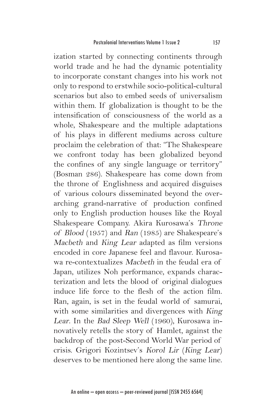ization started by connecting continents through world trade and he had the dynamic potentiality to incorporate constant changes into his work not only to respond to erstwhile socio-political-cultural scenarios but also to embed seeds of universalism within them. If globalization is thought to be the intensification of consciousness of the world as a whole, Shakespeare and the multiple adaptations of his plays in different mediums across culture proclaim the celebration of that: "The Shakespeare we confront today has been globalized beyond the confines of any single language or territory" (Bosman 286). Shakespeare has come down from the throne of Englishness and acquired disguises of various colours disseminated beyond the overarching grand-narrative of production confined only to English production houses like the Royal Shakespeare Company. Akira Kurosawa's Throne of Blood (1957) and Ran (1985) are Shakespeare's Macbeth and King Lear adapted as film versions encoded in core Japanese feel and flavour. Kurosawa re-contextualizes Macbeth in the feudal era of Japan, utilizes Noh performance, expands characterization and lets the blood of original dialogues induce life force to the flesh of the action film. Ran, again, is set in the feudal world of samurai, with some similarities and divergences with King Lear. In the Bad Sleep Well (1960), Kurosawa innovatively retells the story of Hamlet, against the backdrop of the post-Second World War period of crisis. Grigori Kozintsev's Korol Lir (King Lear) deserves to be mentioned here along the same line.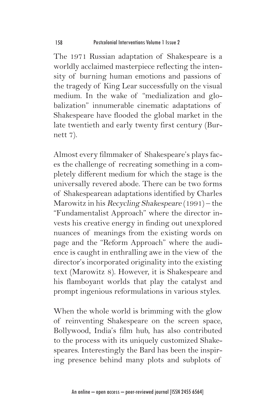The 1971 Russian adaptation of Shakespeare is a worldly acclaimed masterpiece reflecting the intensity of burning human emotions and passions of the tragedy of King Lear successfully on the visual medium. In the wake of "medialization and globalization" innumerable cinematic adaptations of Shakespeare have flooded the global market in the late twentieth and early twenty first century (Burnett 7).

Almost every filmmaker of Shakespeare's plays faces the challenge of recreating something in a completely different medium for which the stage is the universally revered abode. There can be two forms of Shakespearean adaptations identified by Charles Marowitz in his Recycling Shakespeare (1991) – the "Fundamentalist Approach" where the director invests his creative energy in finding out unexplored nuances of meanings from the existing words on page and the "Reform Approach" where the audience is caught in enthralling awe in the view of the director's incorporated originality into the existing text (Marowitz 8). However, it is Shakespeare and his flamboyant worlds that play the catalyst and prompt ingenious reformulations in various styles.

When the whole world is brimming with the glow of reinventing Shakespeare on the screen space, Bollywood, India's film hub, has also contributed to the process with its uniquely customized Shakespeares. Interestingly the Bard has been the inspiring presence behind many plots and subplots of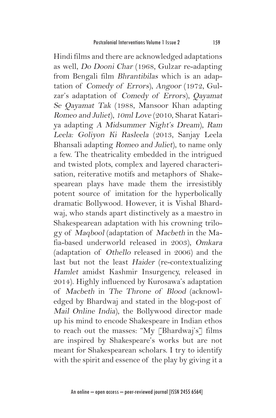Hindi films and there are acknowledged adaptations as well, Do Dooni Char (1968, Gulzar re-adapting from Bengali film Bhrantibilas which is an adaptation of Comedy of Errors), Angoor (1972, Gulzar's adaptation of Comedy of Errors), Qayamat Se Qayamat Tak (1988, Mansoor Khan adapting Romeo and Juliet), 10ml Love (2010, Sharat Katariya adapting A Midsummer Night's Dream), Ram Leela: Goliyon Ki Rasleela (2013, Sanjay Leela Bhansali adapting Romeo and Juliet), to name only a few. The theatricality embedded in the intrigued and twisted plots, complex and layered characterisation, reiterative motifs and metaphors of Shakespearean plays have made them the irresistibly potent source of imitation for the hyperbolically dramatic Bollywood. However, it is Vishal Bhardwaj, who stands apart distinctively as a maestro in Shakespearean adaptation with his crowning trilogy of Maqbool (adaptation of Macbeth in the Mafia-based underworld released in 2003), Omkara (adaptation of Othello released in 2006) and the last but not the least Haider (re-contextualizing Hamlet amidst Kashmir Insurgency, released in 2014). Highly influenced by Kurosawa's adaptation of Macbeth in The Throne of Blood (acknowledged by Bhardwaj and stated in the blog-post of Mail Online India), the Bollywood director made up his mind to encode Shakespeare in Indian ethos to reach out the masses: "My [Bhardwaj's] films are inspired by Shakespeare's works but are not meant for Shakespearean scholars. I try to identify with the spirit and essence of the play by giving it a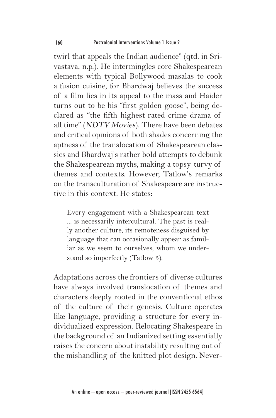twirl that appeals the Indian audience" (qtd. in Srivastava, n.p.). He intermingles core Shakespearean elements with typical Bollywood masalas to cook a fusion cuisine, for Bhardwaj believes the success of a film lies in its appeal to the mass and Haider turns out to be his "first golden goose", being declared as "the fifth highest-rated crime drama of all time" (NDTV Movies). There have been debates and critical opinions of both shades concerning the aptness of the translocation of Shakespearean classics and Bhardwaj's rather bold attempts to debunk the Shakespearean myths, making a topsy-turvy of themes and contexts. However, Tatlow's remarks on the transculturation of Shakespeare are instructive in this context. He states:

Every engagement with a Shakespearean text ... is necessarily intercultural. The past is really another culture, its remoteness disguised by language that can occasionally appear as familiar as we seem to ourselves, whom we understand so imperfectly (Tatlow 5).

Adaptations across the frontiers of diverse cultures have always involved translocation of themes and characters deeply rooted in the conventional ethos of the culture of their genesis. Culture operates like language, providing a structure for every individualized expression. Relocating Shakespeare in the background of an Indianized setting essentially raises the concern about instability resulting out of the mishandling of the knitted plot design. Never-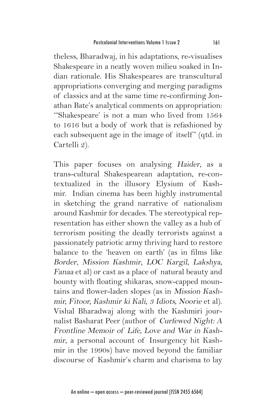theless, Bharadwaj, in his adaptations, re-visualises Shakespeare in a neatly woven milieu soaked in Indian rationale. His Shakespeares are transcultural appropriations converging and merging paradigms of classics and at the same time re-confirming Jonathan Bate's analytical comments on appropriation: '"Shakespeare' is not a man who lived from 1564 to 1616 but a body of work that is refashioned by each subsequent age in the image of itself" (qtd. in Cartelli 2).

This paper focuses on analysing Haider, as a trans-cultural Shakespearean adaptation, re-contextualized in the illusory Elysium of Kashmir. Indian cinema has been highly instrumental in sketching the grand narrative of nationalism around Kashmir for decades. The stereotypical representation has either shown the valley as a hub of terrorism positing the deadly terrorists against a passionately patriotic army thriving hard to restore balance to the 'heaven on earth' (as in films like Border, Mission Kashmir, LOC Kargil, Lakshya, Fanaa et al) or cast as a place of natural beauty and bounty with floating shikaras, snow-capped mountains and flower-laden slopes (as in Mission Kashmir, Fitoor, Kashmir ki Kali, 3 Idiots, Noorie et al). Vishal Bharadwaj along with the Kashmiri journalist Basharat Peer (author of Curfewed Night: A Frontline Memoir of Life, Love and War in Kashmir, a personal account of Insurgency hit Kashmir in the 1990s) have moved beyond the familiar discourse of Kashmir's charm and charisma to lay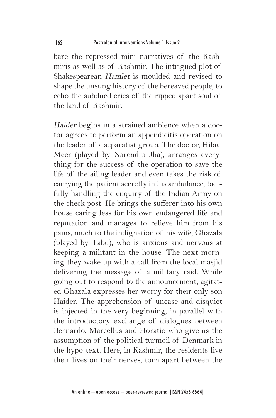bare the repressed mini narratives of the Kashmiris as well as of Kashmir. The intrigued plot of Shakespearean Hamlet is moulded and revised to shape the unsung history of the bereaved people, to echo the subdued cries of the ripped apart soul of the land of Kashmir.

Haider begins in a strained ambience when a doctor agrees to perform an appendicitis operation on the leader of a separatist group. The doctor, Hilaal Meer (played by Narendra Jha), arranges everything for the success of the operation to save the life of the ailing leader and even takes the risk of carrying the patient secretly in his ambulance, tactfully handling the enquiry of the Indian Army on the check post. He brings the sufferer into his own house caring less for his own endangered life and reputation and manages to relieve him from his pains, much to the indignation of his wife, Ghazala (played by Tabu), who is anxious and nervous at keeping a militant in the house. The next morning they wake up with a call from the local masjid delivering the message of a military raid. While going out to respond to the announcement, agitated Ghazala expresses her worry for their only son Haider. The apprehension of unease and disquiet is injected in the very beginning, in parallel with the introductory exchange of dialogues between Bernardo, Marcellus and Horatio who give us the assumption of the political turmoil of Denmark in the hypo-text. Here, in Kashmir, the residents live their lives on their nerves, torn apart between the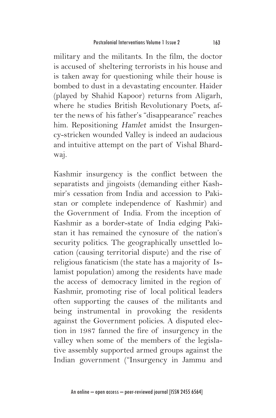military and the militants. In the film, the doctor is accused of sheltering terrorists in his house and is taken away for questioning while their house is bombed to dust in a devastating encounter. Haider (played by Shahid Kapoor) returns from Aligarh, where he studies British Revolutionary Poets, after the news of his father's "disappearance" reaches him. Repositioning Hamlet amidst the Insurgency-stricken wounded Valley is indeed an audacious and intuitive attempt on the part of Vishal Bhardwaj.

Kashmir insurgency is the conflict between the separatists and jingoists (demanding either Kashmir's cessation from India and accession to Pakistan or complete independence of Kashmir) and the Government of India. From the inception of Kashmir as a border-state of India edging Pakistan it has remained the cynosure of the nation's security politics. The geographically unsettled location (causing territorial dispute) and the rise of religious fanaticism (the state has a majority of Islamist population) among the residents have made the access of democracy limited in the region of Kashmir, promoting rise of local political leaders often supporting the causes of the militants and being instrumental in provoking the residents against the Government policies. A disputed election in 1987 fanned the fire of insurgency in the valley when some of the members of the legislative assembly supported armed groups against the Indian government ("Insurgency in Jammu and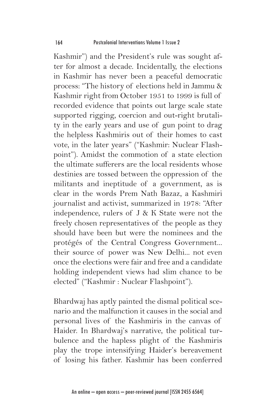Kashmir") and the President's rule was sought after for almost a decade. Incidentally, the elections in Kashmir has never been a peaceful democratic process: "The history of elections held in Jammu & Kashmir right from October 1951 to 1999 is full of recorded evidence that points out large scale state supported rigging, coercion and out-right brutality in the early years and use of gun point to drag the helpless Kashmiris out of their homes to cast vote, in the later years" ("Kashmir: Nuclear Flashpoint"). Amidst the commotion of a state election the ultimate sufferers are the local residents whose destinies are tossed between the oppression of the militants and ineptitude of a government, as is clear in the words Prem Nath Bazaz, a Kashmiri journalist and activist, summarized in 1978: "After independence, rulers of J & K State were not the freely chosen representatives of the people as they should have been but were the nominees and the protégés of the Central Congress Government... their source of power was New Delhi... not even once the elections were fair and free and a candidate holding independent views had slim chance to be elected" ("Kashmir : Nuclear Flashpoint").

Bhardwaj has aptly painted the dismal political scenario and the malfunction it causes in the social and personal lives of the Kashmiris in the canvas of Haider. In Bhardwaj's narrative, the political turbulence and the hapless plight of the Kashmiris play the trope intensifying Haider's bereavement of losing his father. Kashmir has been conferred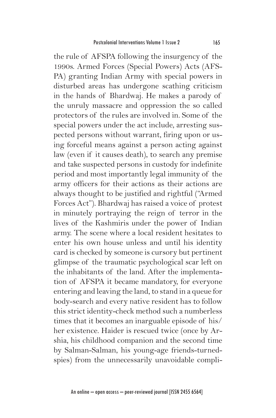the rule of AFSPA following the insurgency of the 1990s. Armed Forces (Special Powers) Acts (AFS-PA) granting Indian Army with special powers in disturbed areas has undergone scathing criticism in the hands of Bhardwaj. He makes a parody of the unruly massacre and oppression the so called protectors of the rules are involved in. Some of the special powers under the act include, arresting suspected persons without warrant, firing upon or using forceful means against a person acting against law (even if it causes death), to search any premise and take suspected persons in custody for indefinite period and most importantly legal immunity of the army officers for their actions as their actions are always thought to be justified and rightful ("Armed Forces Act"). Bhardwaj has raised a voice of protest in minutely portraying the reign of terror in the lives of the Kashmiris under the power of Indian army. The scene where a local resident hesitates to enter his own house unless and until his identity card is checked by someone is cursory but pertinent glimpse of the traumatic psychological scar left on the inhabitants of the land. After the implementation of AFSPA it became mandatory, for everyone entering and leaving the land, to stand in a queue for body-search and every native resident has to follow this strict identity-check method such a numberless times that it becomes an inarguable episode of his/ her existence. Haider is rescued twice (once by Arshia, his childhood companion and the second time by Salman-Salman, his young-age friends-turnedspies) from the unnecessarily unavoidable compli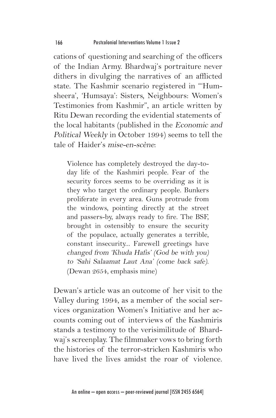cations of questioning and searching of the officers of the Indian Army. Bhardwaj's portraiture never dithers in divulging the narratives of an afflicted state. The Kashmir scenario registered in "'Humsheera', 'Humsaya': Sisters, Neighbours: Women's Testimonies from Kashmir", an article written by Ritu Dewan recording the evidential statements of the local habitants (published in the Economic and Political Weekly in October 1994) seems to tell the tale of Haider's mise-en-scène:

Violence has completely destroyed the day-today life of the Kashmiri people. Fear of the security forces seems to be overriding as it is they who target the ordinary people. Bunkers proliferate in every area. Guns protrude from the windows, pointing directly at the street and passers-by, always ready to fire. The BSF, brought in ostensibly to ensure the security of the populace, actually generates a terrible, constant insecurity... Farewell greetings have changed from 'Khuda Hafis' (God be with you) to 'Sahi Salaamat Laut Ana' (come back safe). (Dewan 2654, emphasis mine)

Dewan's article was an outcome of her visit to the Valley during 1994, as a member of the social services organization Women's Initiative and her accounts coming out of interviews of the Kashmiris stands a testimony to the verisimilitude of Bhardwaj's screenplay. The filmmaker vows to bring forth the histories of the terror-stricken Kashmiris who have lived the lives amidst the roar of violence.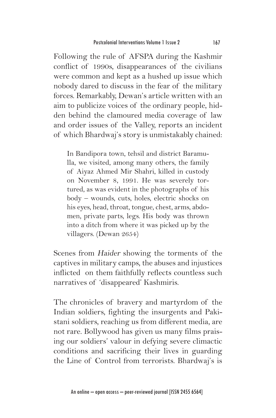Following the rule of AFSPA during the Kashmir conflict of 1990s, disappearances of the civilians were common and kept as a hushed up issue which nobody dared to discuss in the fear of the military forces. Remarkably, Dewan's article written with an aim to publicize voices of the ordinary people, hidden behind the clamoured media coverage of law and order issues of the Valley, reports an incident of which Bhardwaj's story is unmistakably chained:

In Bandipora town, tehsil and district Baramulla, we visited, among many others, the family of Aiyaz Ahmed Mir Shahri, killed in custody on November 8, 1991. He was severely tortured, as was evident in the photographs of his body – wounds, cuts, holes, electric shocks on his eyes, head, throat, tongue, chest, arms, abdomen, private parts, legs. His body was thrown into a ditch from where it was picked up by the villagers. (Dewan 2654)

Scenes from Haider showing the torments of the captives in military camps, the abuses and injustices inflicted on them faithfully reflects countless such narratives of 'disappeared' Kashmiris.

The chronicles of bravery and martyrdom of the Indian soldiers, fighting the insurgents and Pakistani soldiers, reaching us from different media, are not rare. Bollywood has given us many films praising our soldiers' valour in defying severe climactic conditions and sacrificing their lives in guarding the Line of Control from terrorists. Bhardwaj's is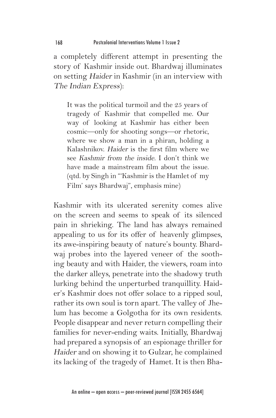a completely different attempt in presenting the story of Kashmir inside out. Bhardwaj illuminates on setting Haider in Kashmir (in an interview with The Indian Express):

It was the political turmoil and the 25 years of tragedy of Kashmir that compelled me. Our way of looking at Kashmir has either been cosmic—only for shooting songs—or rhetoric, where we show a man in a phiran, holding a Kalashnikov. Haider is the first film where we see Kashmir from the inside. I don't think we have made a mainstream film about the issue. (qtd. by Singh in "'Kashmir is the Hamlet of my Film' says Bhardwaj", emphasis mine)

Kashmir with its ulcerated serenity comes alive on the screen and seems to speak of its silenced pain in shrieking. The land has always remained appealing to us for its offer of heavenly glimpses, its awe-inspiring beauty of nature's bounty. Bhardwaj probes into the layered veneer of the soothing beauty and with Haider, the viewers, roam into the darker alleys, penetrate into the shadowy truth lurking behind the unperturbed tranquillity. Haider's Kashmir does not offer solace to a ripped soul, rather its own soul is torn apart. The valley of Jhelum has become a Golgotha for its own residents. People disappear and never return compelling their families for never-ending waits. Initially, Bhardwaj had prepared a synopsis of an espionage thriller for Haider and on showing it to Gulzar, he complained its lacking of the tragedy of Hamet. It is then Bha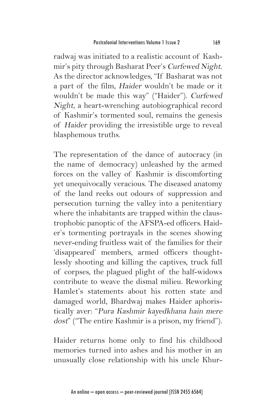radwaj was initiated to a realistic account of Kashmir's pity through Basharat Peer's Curfewed Night. As the director acknowledges, "If Basharat was not a part of the film, Haider wouldn't be made or it wouldn't be made this way" ("Haider"). Curfewed Night, a heart-wrenching autobiographical record of Kashmir's tormented soul, remains the genesis of Haider providing the irresistible urge to reveal blasphemous truths.

The representation of the dance of autocracy (in the name of democracy) unleashed by the armed forces on the valley of Kashmir is discomforting yet unequivocally veracious. The diseased anatomy of the land reeks out odours of suppression and persecution turning the valley into a penitentiary where the inhabitants are trapped within the claustrophobic panoptic of the AFSPA-ed officers. Haider's tormenting portrayals in the scenes showing never-ending fruitless wait of the families for their 'disappeared' members, armed officers thoughtlessly shooting and killing the captives, truck full of corpses, the plagued plight of the half-widows contribute to weave the dismal milieu. Reworking Hamlet's statements about his rotten state and damaged world, Bhardwaj makes Haider aphoristically aver: "Pura Kashmir kayedkhana hain mere dost" ("The entire Kashmir is a prison, my friend").

Haider returns home only to find his childhood memories turned into ashes and his mother in an unusually close relationship with his uncle Khur-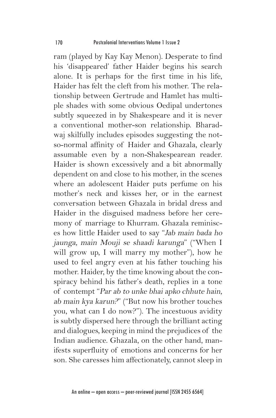ram (played by Kay Kay Menon). Desperate to find his 'disappeared' father Haider begins his search alone. It is perhaps for the first time in his life, Haider has felt the cleft from his mother. The relationship between Gertrude and Hamlet has multiple shades with some obvious Oedipal undertones subtly squeezed in by Shakespeare and it is never a conventional mother-son relationship. Bharadwaj skilfully includes episodes suggesting the notso-normal affinity of Haider and Ghazala, clearly assumable even by a non-Shakespearean reader. Haider is shown excessively and a bit abnormally dependent on and close to his mother, in the scenes where an adolescent Haider puts perfume on his mother's neck and kisses her, or in the earnest conversation between Ghazala in bridal dress and Haider in the disguised madness before her ceremony of marriage to Khurram. Ghazala reminisces how little Haider used to say "Jab main bada ho jaunga, main Mouji se shaadi karunga" ("When I will grow up, I will marry my mother"), how he used to feel angry even at his father touching his mother. Haider, by the time knowing about the conspiracy behind his father's death, replies in a tone of contempt "Par ab to unke bhai apko chhute hain, ab main kya karun?" ("But now his brother touches you, what can I do now?"). The incestuous avidity is subtly dispersed here through the brilliant acting and dialogues, keeping in mind the prejudices of the Indian audience. Ghazala, on the other hand, manifests superfluity of emotions and concerns for her son. She caresses him affectionately, cannot sleep in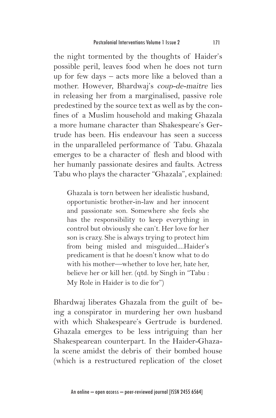the night tormented by the thoughts of Haider's possible peril, leaves food when he does not turn up for few days – acts more like a beloved than a mother. However, Bhardwaj's coup-de-maitre lies in releasing her from a marginalised, passive role predestined by the source text as well as by the confines of a Muslim household and making Ghazala a more humane character than Shakespeare's Gertrude has been. His endeavour has seen a success in the unparalleled performance of Tabu. Ghazala emerges to be a character of flesh and blood with her humanly passionate desires and faults. Actress Tabu who plays the character "Ghazala", explained:

Ghazala is torn between her idealistic husband, opportunistic brother-in-law and her innocent and passionate son. Somewhere she feels she has the responsibility to keep everything in control but obviously she can't. Her love for her son is crazy. She is always trying to protect him from being misled and misguided....Haider's predicament is that he doesn't know what to do with his mother—whether to love her, hate her, believe her or kill her. (qtd. by Singh in "Tabu : My Role in Haider is to die for")

Bhardwaj liberates Ghazala from the guilt of being a conspirator in murdering her own husband with which Shakespeare's Gertrude is burdened. Ghazala emerges to be less intriguing than her Shakespearean counterpart. In the Haider-Ghazala scene amidst the debris of their bombed house (which is a restructured replication of the closet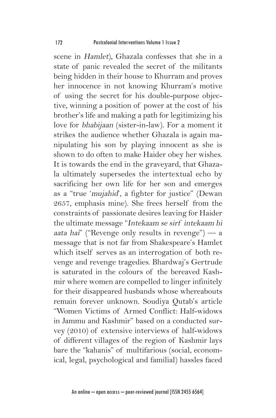scene in Hamlet), Ghazala confesses that she in a state of panic revealed the secret of the militants being hidden in their house to Khurram and proves her innocence in not knowing Khurram's motive of using the secret for his double-purpose objective, winning a position of power at the cost of his brother's life and making a path for legitimizing his love for bhabijaan (sister-in-law). For a moment it strikes the audience whether Ghazala is again manipulating his son by playing innocent as she is shown to do often to make Haider obey her wishes. It is towards the end in the graveyard, that Ghazala ultimately supersedes the intertextual echo by sacrificing her own life for her son and emerges as a "true 'mujahid', a fighter for justice" (Dewan 2657, emphasis mine). She frees herself from the constraints of passionate desires leaving for Haider the ultimate message "Intekaam se sirf intekaam hi aata hai" ("Revenge only results in revenge") — a message that is not far from Shakespeare's Hamlet which itself serves as an interrogation of both revenge and revenge tragedies. Bhardwaj's Gertrude is saturated in the colours of the bereaved Kashmir where women are compelled to linger infinitely for their disappeared husbands whose whereabouts remain forever unknown. Soudiya Qutab's article "Women Victims of Armed Conflict: Half-widows in Jammu and Kashmir" based on a conducted survey (2010) of extensive interviews of half-widows of different villages of the region of Kashmir lays bare the "kahanis" of multifarious (social, economical, legal, psychological and familial) hassles faced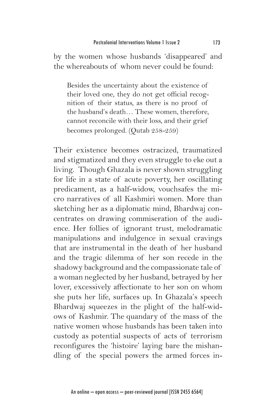by the women whose husbands 'disappeared' and the whereabouts of whom never could be found:

Besides the uncertainty about the existence of their loved one, they do not get official recognition of their status, as there is no proof of the husband's death… These women, therefore, cannot reconcile with their loss, and their grief becomes prolonged. (Qutab 258-259)

Their existence becomes ostracized, traumatized and stigmatized and they even struggle to eke out a living. Though Ghazala is never shown struggling for life in a state of acute poverty, her oscillating predicament, as a half-widow, vouchsafes the micro narratives of all Kashmiri women. More than sketching her as a diplomatic mind, Bhardwaj concentrates on drawing commiseration of the audience. Her follies of ignorant trust, melodramatic manipulations and indulgence in sexual cravings that are instrumental in the death of her husband and the tragic dilemma of her son recede in the shadowy background and the compassionate tale of a woman neglected by her husband, betrayed by her lover, excessively affectionate to her son on whom she puts her life, surfaces up. In Ghazala's speech Bhardwaj squeezes in the plight of the half-widows of Kashmir. The quandary of the mass of the native women whose husbands has been taken into custody as potential suspects of acts of terrorism reconfigures the 'histoire' laying bare the mishandling of the special powers the armed forces in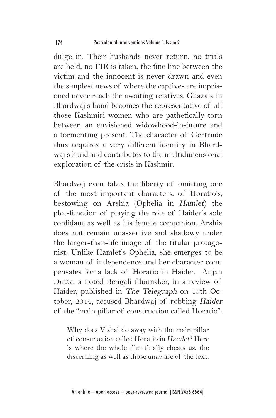dulge in. Their husbands never return, no trials are held, no FIR is taken, the fine line between the victim and the innocent is never drawn and even the simplest news of where the captives are imprisoned never reach the awaiting relatives. Ghazala in Bhardwaj's hand becomes the representative of all those Kashmiri women who are pathetically torn between an envisioned widowhood-in-future and a tormenting present. The character of Gertrude thus acquires a very different identity in Bhardwaj's hand and contributes to the multidimensional exploration of the crisis in Kashmir.

Bhardwaj even takes the liberty of omitting one of the most important characters, of Horatio's, bestowing on Arshia (Ophelia in Hamlet) the plot-function of playing the role of Haider's sole confidant as well as his female companion. Arshia does not remain unassertive and shadowy under the larger-than-life image of the titular protagonist. Unlike Hamlet's Ophelia, she emerges to be a woman of independence and her character compensates for a lack of Horatio in Haider. Anjan Dutta, a noted Bengali filmmaker, in a review of Haider, published in The Telegraph on 15th October, 2014, accused Bhardwaj of robbing Haider of the "main pillar of construction called Horatio":

Why does Vishal do away with the main pillar of construction called Horatio in Hamlet? Here is where the whole film finally cheats us, the discerning as well as those unaware of the text.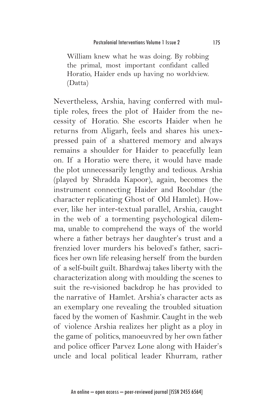William knew what he was doing. By robbing the primal, most important confidant called Horatio, Haider ends up having no worldview. (Datta)

Nevertheless, Arshia, having conferred with multiple roles, frees the plot of Haider from the necessity of Horatio. She escorts Haider when he returns from Aligarh, feels and shares his unexpressed pain of a shattered memory and always remains a shoulder for Haider to peacefully lean on. If a Horatio were there, it would have made the plot unnecessarily lengthy and tedious. Arshia (played by Shradda Kapoor), again, becomes the instrument connecting Haider and Roohdar (the character replicating Ghost of Old Hamlet). However, like her inter-textual parallel, Arshia, caught in the web of a tormenting psychological dilemma, unable to comprehend the ways of the world where a father betrays her daughter's trust and a frenzied lover murders his beloved's father, sacrifices her own life releasing herself from the burden of a self-built guilt. Bhardwaj takes liberty with the characterization along with moulding the scenes to suit the re-visioned backdrop he has provided to the narrative of Hamlet. Arshia's character acts as an exemplary one revealing the troubled situation faced by the women of Kashmir. Caught in the web of violence Arshia realizes her plight as a ploy in the game of politics, manoeuvred by her own father and police officer Parvez Lone along with Haider's uncle and local political leader Khurram, rather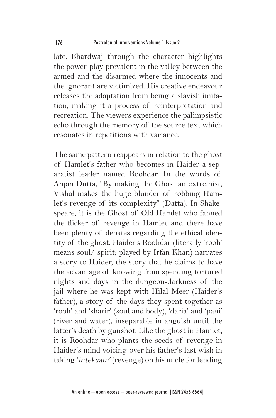late. Bhardwaj through the character highlights the power-play prevalent in the valley between the armed and the disarmed where the innocents and the ignorant are victimized. His creative endeavour releases the adaptation from being a slavish imitation, making it a process of reinterpretation and recreation. The viewers experience the palimpsistic echo through the memory of the source text which resonates in repetitions with variance.

The same pattern reappears in relation to the ghost of Hamlet's father who becomes in Haider a separatist leader named Roohdar. In the words of Anjan Dutta, "By making the Ghost an extremist, Vishal makes the huge blunder of robbing Hamlet's revenge of its complexity" (Datta). In Shakespeare, it is the Ghost of Old Hamlet who fanned the flicker of revenge in Hamlet and there have been plenty of debates regarding the ethical identity of the ghost. Haider's Roohdar (literally 'rooh' means soul/ spirit; played by Irfan Khan) narrates a story to Haider, the story that he claims to have the advantage of knowing from spending tortured nights and days in the dungeon-darkness of the jail where he was kept with Hilal Meer (Haider's father), a story of the days they spent together as 'rooh' and 'sharir' (soul and body), 'daria' and 'pani' (river and water), inseparable in anguish until the latter's death by gunshot. Like the ghost in Hamlet, it is Roohdar who plants the seeds of revenge in Haider's mind voicing-over his father's last wish in taking 'intekaam' (revenge) on his uncle for lending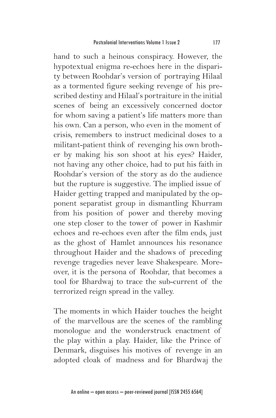hand to such a heinous conspiracy. However, the hypotextual enigma re-echoes here in the disparity between Roohdar's version of portraying Hilaal as a tormented figure seeking revenge of his prescribed destiny and Hilaal's portraiture in the initial scenes of being an excessively concerned doctor for whom saving a patient's life matters more than his own. Can a person, who even in the moment of crisis, remembers to instruct medicinal doses to a militant-patient think of revenging his own brother by making his son shoot at his eyes? Haider, not having any other choice, had to put his faith in Roohdar's version of the story as do the audience but the rupture is suggestive. The implied issue of Haider getting trapped and manipulated by the opponent separatist group in dismantling Khurram from his position of power and thereby moving one step closer to the tower of power in Kashmir echoes and re-echoes even after the film ends, just as the ghost of Hamlet announces his resonance throughout Haider and the shadows of preceding revenge tragedies never leave Shakespeare. Moreover, it is the persona of Roohdar, that becomes a tool for Bhardwaj to trace the sub-current of the terrorized reign spread in the valley.

The moments in which Haider touches the height of the marvellous are the scenes of the rambling monologue and the wonderstruck enactment of the play within a play. Haider, like the Prince of Denmark, disguises his motives of revenge in an adopted cloak of madness and for Bhardwaj the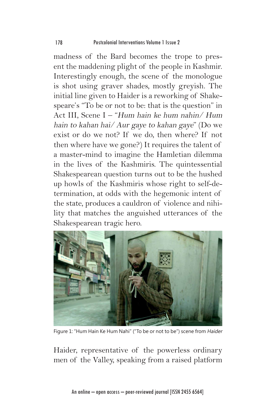madness of the Bard becomes the trope to present the maddening plight of the people in Kashmir. Interestingly enough, the scene of the monologue is shot using graver shades, mostly greyish. The initial line given to Haider is a reworking of Shakespeare's "To be or not to be: that is the question" in Act III, Scene I – "Hum hain ke hum nahin/ Hum hain to kahan hai/ Aur gaye to kahan gaye" (Do we exist or do we not? If we do, then where? If not then where have we gone?) It requires the talent of a master-mind to imagine the Hamletian dilemma in the lives of the Kashmiris. The quintessential Shakespearean question turns out to be the hushed up howls of the Kashmiris whose right to self-determination, at odds with the hegemonic intent of the state, produces a cauldron of violence and nihility that matches the anguished utterances of the Shakespearean tragic hero.



Figure 1: "Hum Hain Ke Hum Nahi" ("To be or not to be") scene from Haider

Haider, representative of the powerless ordinary men of the Valley, speaking from a raised platform

An online – open access – peer-reviewed journal [ISSN 2455 6564]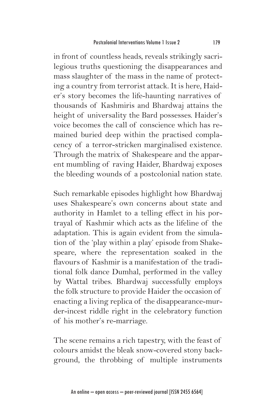in front of countless heads, reveals strikingly sacrilegious truths questioning the disappearances and mass slaughter of the mass in the name of protecting a country from terrorist attack. It is here, Haider's story becomes the life-haunting narratives of thousands of Kashmiris and Bhardwaj attains the height of universality the Bard possesses. Haider's voice becomes the call of conscience which has remained buried deep within the practised complacency of a terror-stricken marginalised existence. Through the matrix of Shakespeare and the apparent mumbling of raving Haider, Bhardwaj exposes the bleeding wounds of a postcolonial nation state.

Such remarkable episodes highlight how Bhardwaj uses Shakespeare's own concerns about state and authority in Hamlet to a telling effect in his portrayal of Kashmir which acts as the lifeline of the adaptation. This is again evident from the simulation of the 'play within a play' episode from Shakespeare, where the representation soaked in the flavours of Kashmir is a manifestation of the traditional folk dance Dumhal, performed in the valley by Wattal tribes. Bhardwaj successfully employs the folk structure to provide Haider the occasion of enacting a living replica of the disappearance-murder-incest riddle right in the celebratory function of his mother's re-marriage.

The scene remains a rich tapestry, with the feast of colours amidst the bleak snow-covered stony background, the throbbing of multiple instruments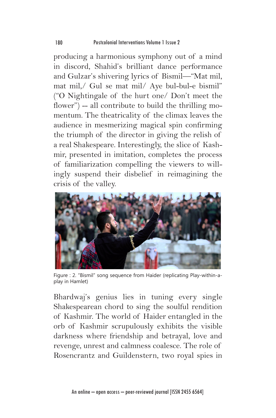producing a harmonious symphony out of a mind in discord, Shahid's brilliant dance performance and Gulzar's shivering lyrics of Bismil—"Mat mil, mat mil,/ Gul se mat mil/ Aye bul-bul-e bismil" ("O Nightingale of the hurt one/ Don't meet the flower") -- all contribute to build the thrilling momentum. The theatricality of the climax leaves the audience in mesmerizing magical spin confirming the triumph of the director in giving the relish of a real Shakespeare. Interestingly, the slice of Kashmir, presented in imitation, completes the process of familiarization compelling the viewers to willingly suspend their disbelief in reimagining the crisis of the valley.



Figure : 2. "Bismil" song sequence from Haider (replicating Play-within-aplay in Hamlet)

Bhardwaj's genius lies in tuning every single Shakespearean chord to sing the soulful rendition of Kashmir. The world of Haider entangled in the orb of Kashmir scrupulously exhibits the visible darkness where friendship and betrayal, love and revenge, unrest and calmness coalesce. The role of Rosencrantz and Guildenstern, two royal spies in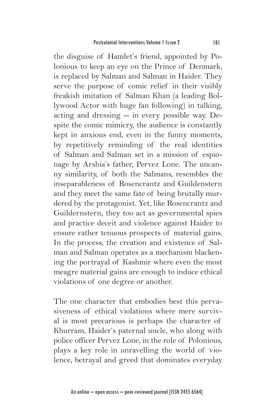the disguise of Hamlet's friend, appointed by Polonious to keep an eye on the Prince of Denmark, is replaced by Salman and Salman in Haider. They serve the purpose of comic relief in their visibly freakish imitation of Salman Khan (a leading Bollywood Actor with huge fan following) in talking, acting and dressing -- in every possible way. Despite the comic mimicry, the audience is constantly kept in anxious end, even in the funny moments, by repetitively reminding of the real identities of Salman and Salman set in a mission of espionage by Arshia's father, Pervez Lone. The uncanny similarity, of both the Salmans, resembles the inseparableness of Rosencrantz and Guildenstern and they meet the same fate of being brutally murdered by the protagonist. Yet, like Rosencrantz and Guildernstern, they too act as governmental spies and practice deceit and violence against Haider to ensure rather tenuous prospects of material gains. In the process, the creation and existence of Salman and Salman operates as a mechanism blackening the portrayal of Kashmir where even the most meagre material gains are enough to induce ethical violations of one degree or another.

The one character that embodies best this pervasiveness of ethical violations where mere survival is most precarious is perhaps the character of Khurram, Haider's paternal uncle, who along with police officer Pervez Lone, in the role of Polonious, plays a key role in unravelling the world of violence, betrayal and greed that dominates everyday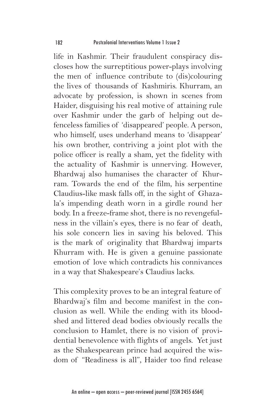life in Kashmir. Their fraudulent conspiracy discloses how the surreptitious power-plays involving the men of influence contribute to (dis)colouring the lives of thousands of Kashmiris. Khurram, an advocate by profession, is shown in scenes from Haider, disguising his real motive of attaining rule over Kashmir under the garb of helping out defenceless families of 'disappeared' people. A person, who himself, uses underhand means to 'disappear' his own brother, contriving a joint plot with the police officer is really a sham, yet the fidelity with the actuality of Kashmir is unnerving. However, Bhardwaj also humanises the character of Khurram. Towards the end of the film, his serpentine Claudius-like mask falls off, in the sight of Ghazala's impending death worn in a girdle round her body. In a freeze-frame shot, there is no revengefulness in the villain's eyes, there is no fear of death, his sole concern lies in saving his beloved. This is the mark of originality that Bhardwaj imparts Khurram with. He is given a genuine passionate emotion of love which contradicts his connivances in a way that Shakespeare's Claudius lacks.

This complexity proves to be an integral feature of Bhardwaj's film and become manifest in the conclusion as well. While the ending with its bloodshed and littered dead bodies obviously recalls the conclusion to Hamlet, there is no vision of providential benevolence with flights of angels. Yet just as the Shakespearean prince had acquired the wisdom of "Readiness is all", Haider too find release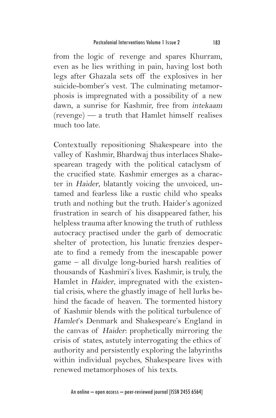from the logic of revenge and spares Khurram, even as he lies writhing in pain, having lost both legs after Ghazala sets off the explosives in her suicide-bomber's vest. The culminating metamorphosis is impregnated with a possibility of a new dawn, a sunrise for Kashmir, free from intekaam (revenge) — a truth that Hamlet himself realises much too late.

Contextually repositioning Shakespeare into the valley of Kashmir, Bhardwaj thus interlaces Shakespearean tragedy with the political cataclysm of the crucified state. Kashmir emerges as a character in Haider, blatantly voicing the unvoiced, untamed and fearless like a rustic child who speaks truth and nothing but the truth. Haider's agonized frustration in search of his disappeared father, his helpless trauma after knowing the truth of ruthless autocracy practised under the garb of democratic shelter of protection, his lunatic frenzies desperate to find a remedy from the inescapable power game – all divulge long-buried harsh realities of thousands of Kashmiri's lives. Kashmir, is truly, the Hamlet in Haider, impregnated with the existential crisis, where the ghastly image of hell lurks behind the facade of heaven. The tormented history of Kashmir blends with the political turbulence of Hamlet's Denmark and Shakespeare's England in the canvas of Haider: prophetically mirroring the crisis of states, astutely interrogating the ethics of authority and persistently exploring the labyrinths within individual psyches, Shakespeare lives with renewed metamorphoses of his texts.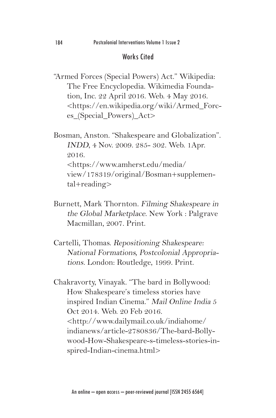## Works Cited

"Armed Forces (Special Powers) Act." Wikipedia: The Free Encyclopedia. Wikimedia Foundation, Inc. 22 April 2016. Web. 4 May 2016. <https://en.wikipedia.org/wiki/Armed\_Forces\_(Special\_Powers)\_Act>

Bosman, Anston. "Shakespeare and Globalization". INDD, 4 Nov. 2009. 285- 302. Web. 1Apr. 2016. <https://www.amherst.edu/media/ view/178319/original/Bosman+supplemental+reading>

- Burnett, Mark Thornton. Filming Shakespeare in the Global Marketplace. New York : Palgrave Macmillan, 2007. Print.
- Cartelli, Thomas. Repositioning Shakespeare: National Formations, Postcolonial Appropriations. London: Routledge, 1999. Print.

Chakravorty, Vinayak. "The bard in Bollywood: How Shakespeare's timeless stories have inspired Indian Cinema." Mail Online India 5 Oct 2014. Web. 20 Feb 2016. <http://www.dailymail.co.uk/indiahome/ indianews/article-2780836/The-bard-Bollywood-How-Shakespeare-s-timeless-stories-inspired-Indian-cinema.html>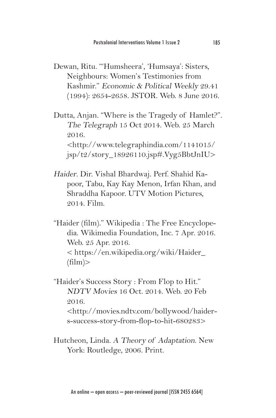Dewan, Ritu. "'Humsheera', 'Humsaya': Sisters, Neighbours: Women's Testimonies from Kashmir." Economic & Political Weekly 29.41 (1994): 2654-2658. JSTOR. Web. 8 June 2016.

Dutta, Anjan. "Where is the Tragedy of Hamlet?". The Telegraph 15 Oct 2014. Web. 25 March 2016. <http://www.telegraphindia.com/1141015/ jsp/t2/story\_18926110.jsp#.Vyg5BbtJnIU>

- Haider. Dir. Vishal Bhardwaj. Perf. Shahid Kapoor, Tabu, Kay Kay Menon, Irfan Khan, and Shraddha Kapoor. UTV Motion Pictures, 2014. Film.
- "Haider (film)." Wikipedia : The Free Encyclopedia. Wikimedia Foundation, Inc. 7 Apr. 2016. Web. 25 Apr. 2016. < https://en.wikipedia.org/wiki/Haider\_  $(film)$
- "Haider's Success Story : From Flop to Hit." NDTV Movies 16 Oct. 2014. Web. 20 Feb 2016. <http://movies.ndtv.com/bollywood/haiders-success-story-from-flop-to-hit-680283>
- Hutcheon, Linda. A Theory of Adaptation. New York: Routledge, 2006. Print.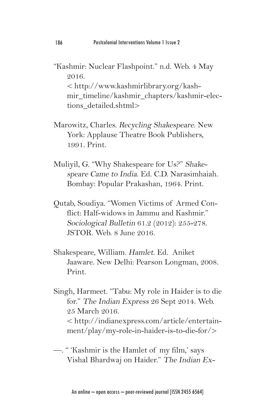- "Kashmir: Nuclear Flashpoint." n.d. Web. 4 May 2016. < http://www.kashmirlibrary.org/kashmir\_timeline/kashmir\_chapters/kashmir-elections\_detailed.shtml>
- Marowitz, Charles. Recycling Shakespeare. New York: Applause Theatre Book Publishers, 1991. Print.
- Muliyil, G. "Why Shakespeare for Us?" Shakespeare Came to India. Ed. C.D. Narasimhaiah. Bombay: Popular Prakashan, 1964. Print.
- Qutab, Soudiya. "Women Victims of Armed Conflict: Half-widows in Jammu and Kashmir." Sociological Bulletin 61.2 (2012): 255-278. JSTOR. Web. 8 June 2016.
- Shakespeare, William. Hamlet. Ed. Aniket Jaaware. New Delhi: Pearson Longman, 2008. Print.
- Singh, Harmeet. "Tabu: My role in Haider is to die for." The Indian Express 26 Sept 2014. Web. 25 March 2016. < http://indianexpress.com/article/entertainment/play/my-role-in-haider-is-to-die-for/>
- —. " 'Kashmir is the Hamlet of my film,' says Vishal Bhardwaj on Haider." The Indian Ex-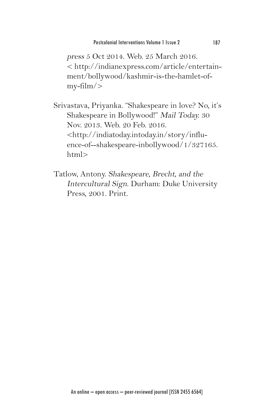press 5 Oct 2014. Web. 25 March 2016. < http://indianexpress.com/article/entertainment/bollywood/kashmir-is-the-hamlet-ofmy-film/>

Srivastava, Priyanka. "Shakespeare in love? No, it's Shakespeare in Bollywood!" Mail Today. 30 Nov. 2013. Web. 20 Feb. 2016. <http://indiatoday.intoday.in/story/influence-of--shakespeare-inbollywood/1/327165. html>

Tatlow, Antony. Shakespeare, Brecht, and the Intercultural Sign. Durham: Duke University Press, 2001. Print.